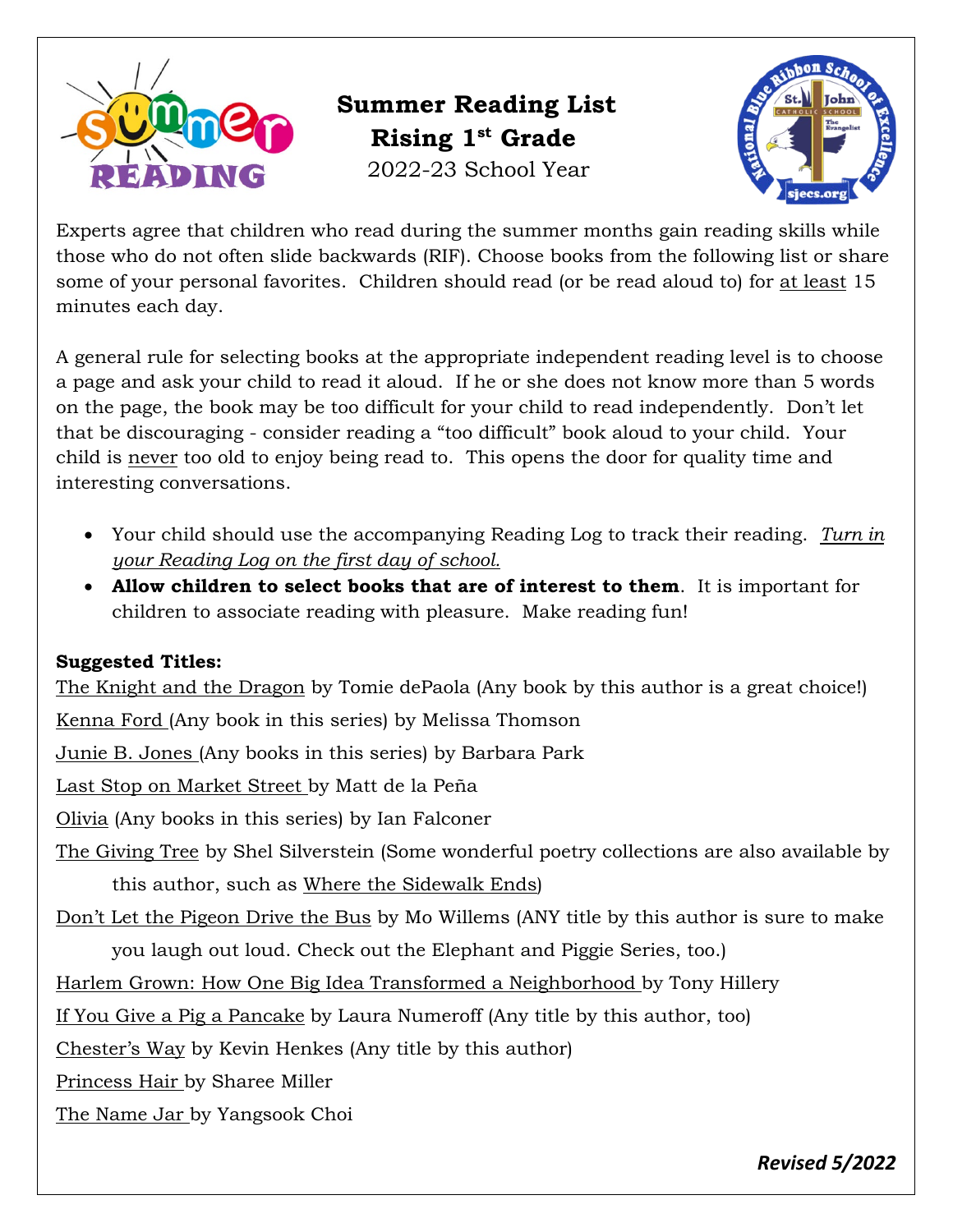

 **Summer Reading List Rising 1st Grade** 2022-23 School Year



Experts agree that children who read during the summer months gain reading skills while those who do not often slide backwards (RIF). Choose books from the following list or share some of your personal favorites. Children should read (or be read aloud to) for at least 15 minutes each day.

A general rule for selecting books at the appropriate independent reading level is to choose a page and ask your child to read it aloud. If he or she does not know more than 5 words on the page, the book may be too difficult for your child to read independently. Don't let that be discouraging - consider reading a "too difficult" book aloud to your child. Your child is never too old to enjoy being read to. This opens the door for quality time and interesting conversations.

- Your child should use the accompanying Reading Log to track their reading. *Turn in your Reading Log on the first day of school.*
- **Allow children to select books that are of interest to them**. It is important for children to associate reading with pleasure. Make reading fun!

## **Suggested Titles:**

The Knight and the Dragon by Tomie dePaola (Any book by this author is a great choice!)

Kenna Ford (Any book in this series) by Melissa Thomson

Junie B. Jones (Any books in this series) by Barbara Park

Last Stop on Market Street by Matt de la Peña

Olivia (Any books in this series) by Ian Falconer

The Giving Tree by Shel Silverstein (Some wonderful poetry collections are also available by this author, such as Where the Sidewalk Ends)

Don't Let the Pigeon Drive the Bus by Mo Willems (ANY title by this author is sure to make

you laugh out loud. Check out the Elephant and Piggie Series, too.)

Harlem Grown: How One Big Idea Transformed a Neighborhood by Tony Hillery

If You Give a Pig a Pancake by Laura Numeroff (Any title by this author, too)

Chester's Way by Kevin Henkes (Any title by this author)

Princess Hair by Sharee Miller

The Name Jar by Yangsook Choi

*Revised 5/2022*